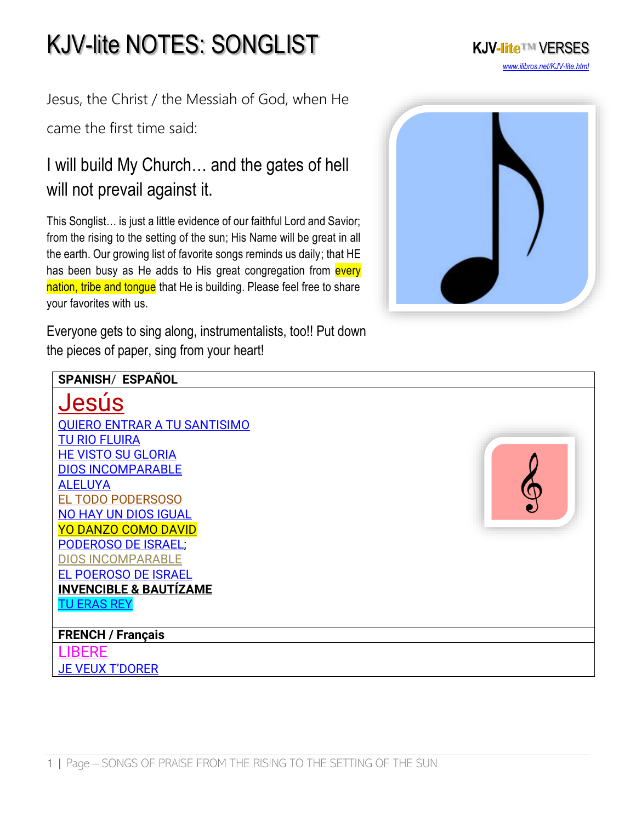Jesus, the Christ / the Messiah of God, when He came the first time said:

#### I will build My Church… and the gates of hell will not prevail against it.

This Songlist… is just a little evidence of our faithful Lord and Savior; from the rising to the setting of the sun; His Name will be great in all the earth. Our growing list of favorite songs reminds us daily; that HE has been busy as He adds to His great congregation from every nation, tribe and tongue that He is building. Please feel free to share your favorites with us.

Everyone gets to sing along, instrumentalists, too!! Put down the pieces of paper, sing from your heart!



*[www.ilibros.net/KJV-lite.html](http://www.ilibros.net/KJV-lite.html)*

#### **SPANISH**/ **ESPAÑOL** [Jesús](https://youtu.be/qbzQRvJZi9Q) [QUIERO ENTRAR A TU SANTISIMO](https://youtu.be/hKGYPzMvW_o)  [TU RIO FLUIRA](https://youtu.be/Q8izLjiGtHk)  [HE VISTO SU GLORIA](https://youtu.be/Tc0clxVW-sM)  [DIOS INCOMPARABLE](https://youtu.be/Wx7bI3yDoVk)  [ALELUYA](https://youtu.be/hvlH5JKJXx8) [EL TODO PODERSOSO](https://youtu.be/ezgHEWiJVt8) [NO HAY UN DIOS IGUAL](https://youtu.be/u7PEBvJ8B50) [YO DANZO COMO DAVID](https://youtu.be/aveTjkB56pI) [PODEROSO DE ISRAEL;](https://youtu.be/pYAmta-LH3Q) [DIOS INCOMPARABLE](https://youtu.be/RS-Ql-6mCCk) [EL POEROSO DE ISRAEL](https://youtu.be/8No_9pkScAQ) **[INVENCIBLE & BAUTÍZAME](https://youtu.be/atzyLPaptcw) [TU ERAS REY](https://youtu.be/JSpQHItnrSs) FRENCH / Français**

[LIBERE](https://youtu.be/4HMaewnClGE) [JE VEUX T'DORER](https://youtu.be/UrlODiRg2BI)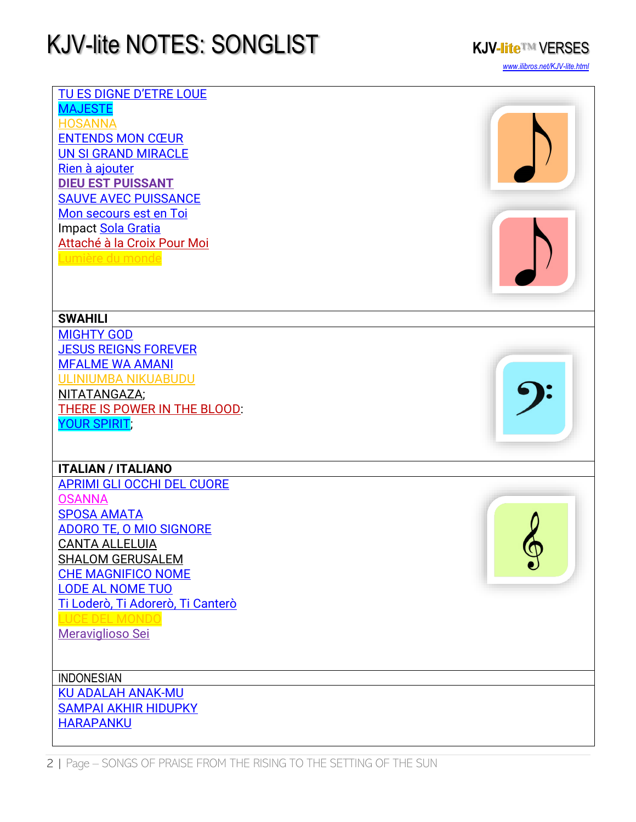| <b>TU ES DIGNE D'ETRE LOUE</b><br><b>MAJESTE</b><br><b>HOSANNA</b><br><b>ENTENDS MON CŒUR</b><br><b>UN SI GRAND MIRACLE</b><br>Rien à ajouter<br><b>DIEU EST PUISSANT</b><br><b>SAUVE AVEC PUISSANCE</b><br>Mon secours est en Toi<br>Impact Sola Gratia<br>Attaché à la Croix Pour Moi<br><u>umière du monde</u> |                        |
|-------------------------------------------------------------------------------------------------------------------------------------------------------------------------------------------------------------------------------------------------------------------------------------------------------------------|------------------------|
| <b>SWAHILI</b><br><b>MIGHTY GOD</b><br><b>JESUS REIGNS FOREVER</b><br><b>MFALME WA AMANI</b><br><b>ULINIUMBA NIKUABUDU</b><br>NITATANGAZA;<br>THERE IS POWER IN THE BLOOD:                                                                                                                                        |                        |
| <b>YOUR SPIRIT,</b><br><b>ITALIAN / ITALIANO</b><br><b>APRIMI GLI OCCHI DEL CUORE</b><br><b>OSANNA</b><br><b>SPOSA AMATA</b><br><b>ADORO TE, O MIO SIGNORE</b><br><b>CANTA ALLELUIA</b><br><b>SHALOM GERUSALEM</b>                                                                                                | $\boldsymbol{\varphi}$ |
| <b>CHE MAGNIFICO NOME</b><br><b>LODE AL NOME TUO</b><br>Ti Loderò, Ti Adorerò, Ti Canterò<br>Meraviglioso Sei<br><b>INDONESIAN</b><br><b>KU ADALAH ANAK-MU</b><br><b>SAMPAI AKHIR HIDUPKY</b>                                                                                                                     |                        |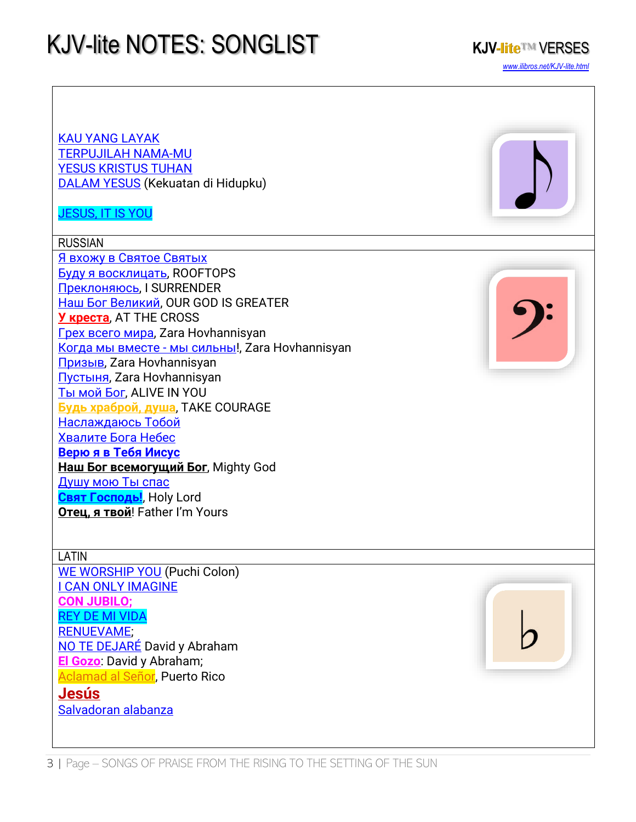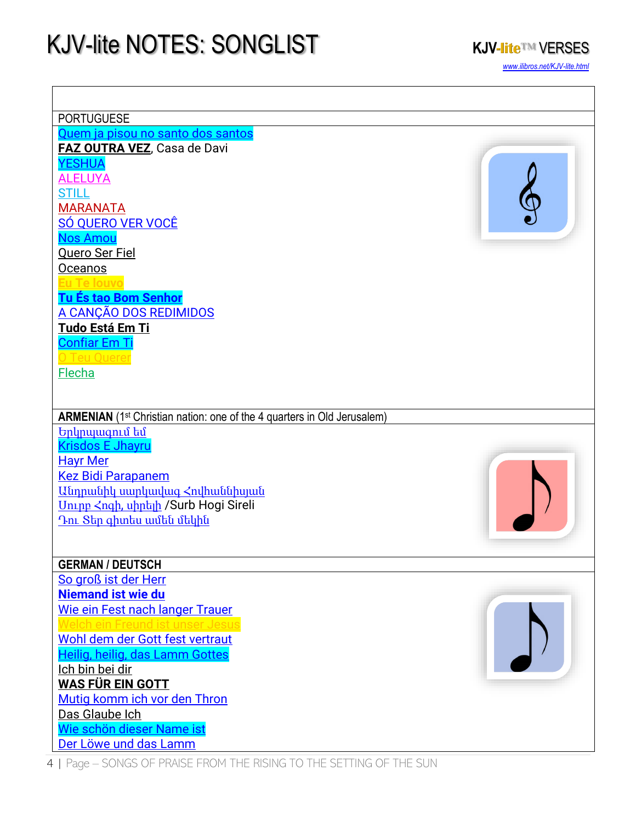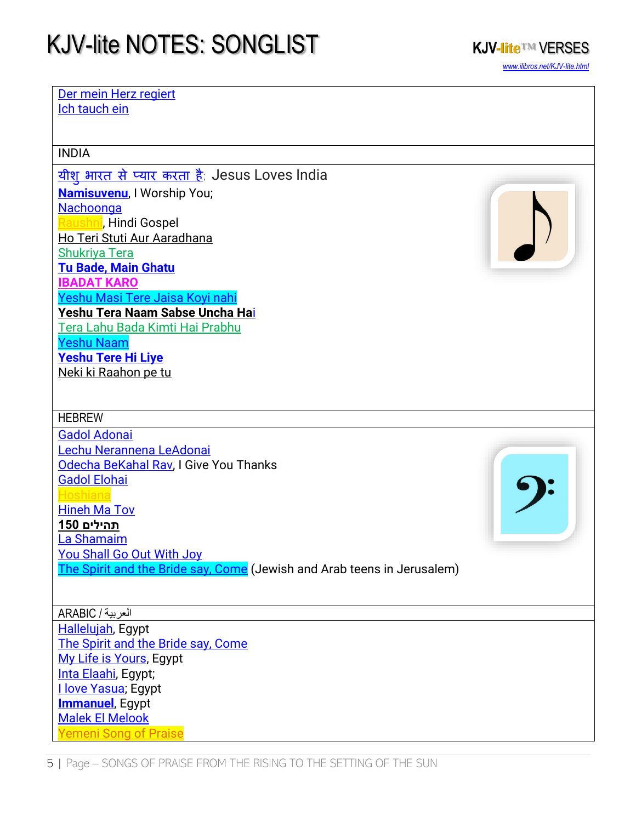[Der mein Herz regiert](https://youtu.be/Hs5ZtaVXrdQ)

[Ich tauch ein](https://youtu.be/giGljCCZJBQ)



5 | Page – SONGS OF PRAISE FROM THE RISING TO THE SETTING OF THE SUN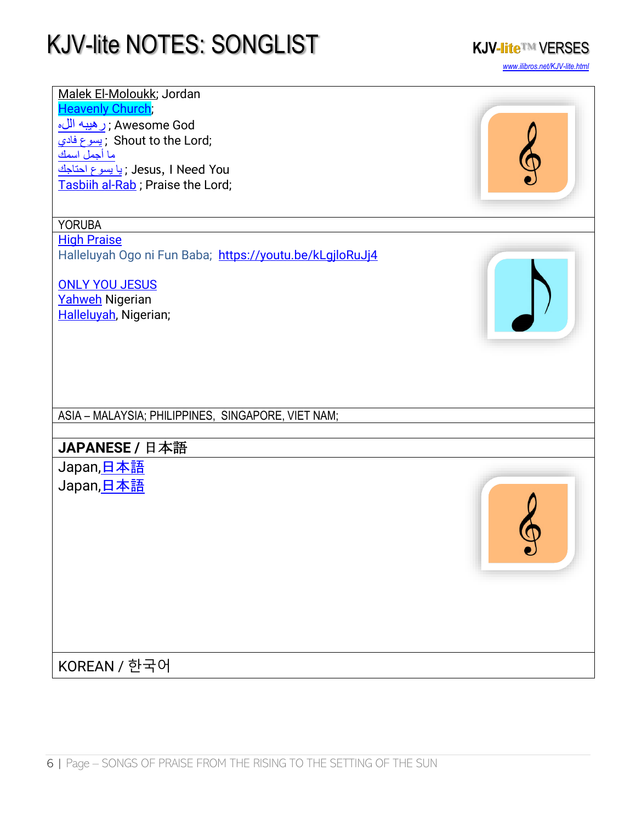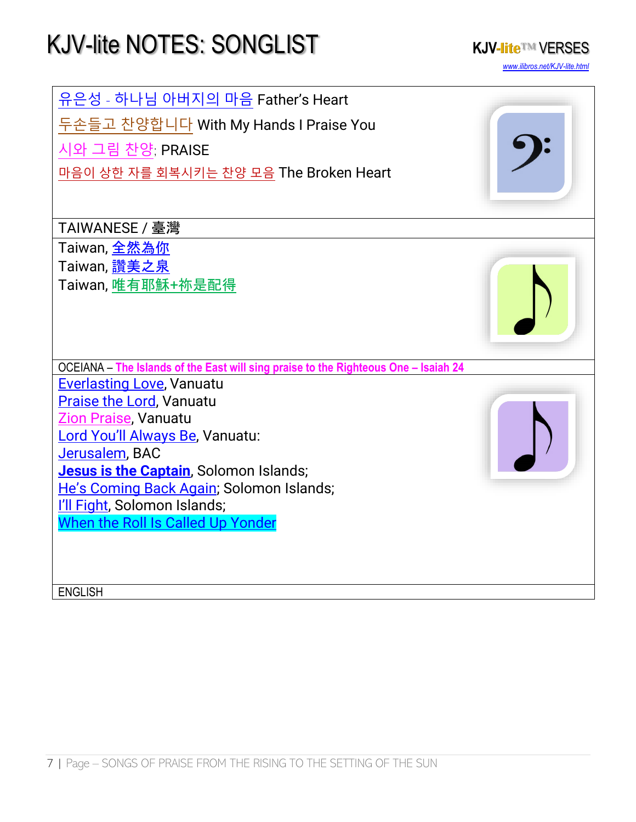



**ENGLISH**